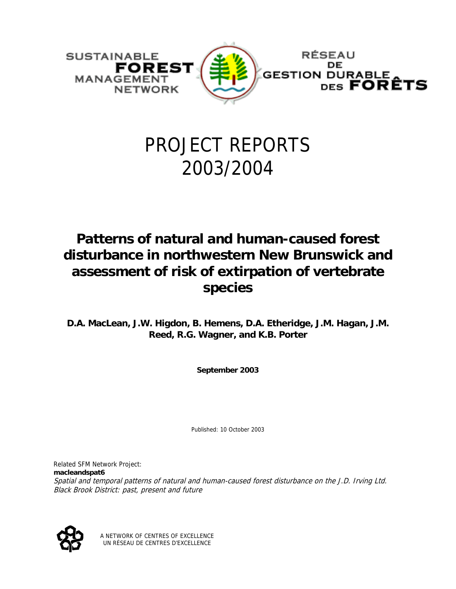

# PROJECT REPORTS 2003/2004

## **Patterns of natural and human-caused forest disturbance in northwestern New Brunswick and assessment of risk of extirpation of vertebrate species**

**D.A. MacLean, J.W. Higdon, B. Hemens, D.A. Etheridge, J.M. Hagan, J.M. Reed, R.G. Wagner, and K.B. Porter** 

**September 2003** 

Published: 10 October 2003

Related SFM Network Project: **macleandspat6** Spatial and temporal patterns of natural and human-caused forest disturbance on the J.D. Irving Ltd. Black Brook District: past, present and future



A NETWORK OF CENTRES OF EXCELLENCE UN RÉSEAU DE CENTRES D'EXCELLENCE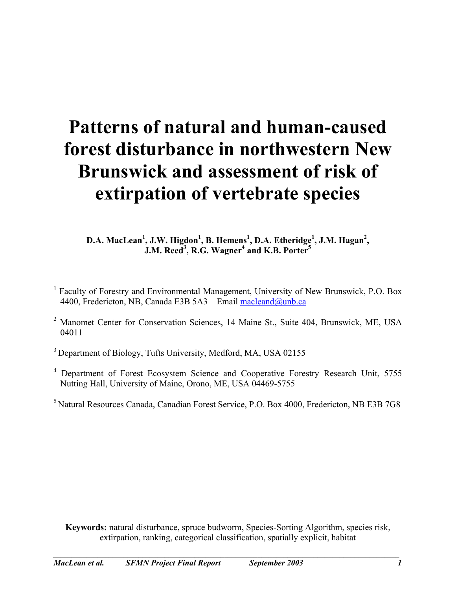# **Patterns of natural and human-caused forest disturbance in northwestern New Brunswick and assessment of risk of extirpation of vertebrate species**

D.A. MacLean<sup>1</sup>, J.W. Higdon<sup>1</sup>, B. Hemens<sup>1</sup>, D.A. Etheridge<sup>1</sup>, J.M. Hagan<sup>2</sup>, **J.M. Reed<sup>3</sup>, R.G. Wagner<sup>4</sup> and K.B. Porter<sup>5</sup>** 

- <sup>1</sup> Faculty of Forestry and Environmental Management, University of New Brunswick, P.O. Box 4400, Fredericton, NB, Canada E3B 5A3 Email [macleand@unb.ca](mailto:macleand@unb.ca)
- <sup>2</sup> Manomet Center for Conservation Sciences, 14 Maine St., Suite 404, Brunswick, ME, USA 04011
- 3 Department of Biology, Tufts University, Medford, MA, USA 02155
- <sup>4</sup> Department of Forest Ecosystem Science and Cooperative Forestry Research Unit, 5755 Nutting Hall, University of Maine, Orono, ME, USA 04469-5755
- 5 Natural Resources Canada, Canadian Forest Service, P.O. Box 4000, Fredericton, NB E3B 7G8

**Keywords:** natural disturbance, spruce budworm, Species-Sorting Algorithm, species risk, extirpation, ranking, categorical classification, spatially explicit, habitat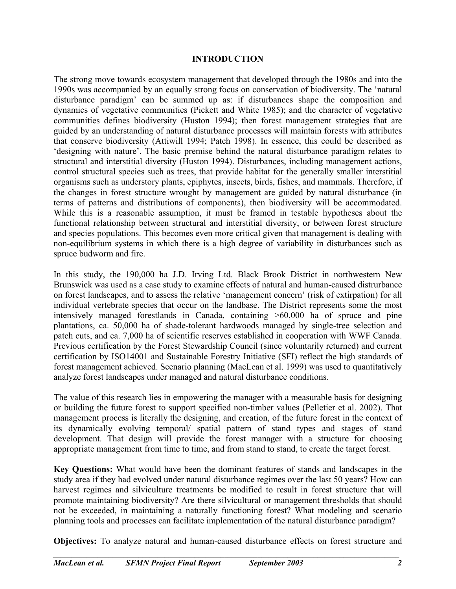#### **INTRODUCTION**

The strong move towards ecosystem management that developed through the 1980s and into the 1990s was accompanied by an equally strong focus on conservation of biodiversity. The 'natural disturbance paradigm' can be summed up as: if disturbances shape the composition and dynamics of vegetative communities (Pickett and White 1985); and the character of vegetative communities defines biodiversity (Huston 1994); then forest management strategies that are guided by an understanding of natural disturbance processes will maintain forests with attributes that conserve biodiversity (Attiwill 1994; Patch 1998). In essence, this could be described as 'designing with nature'. The basic premise behind the natural disturbance paradigm relates to structural and interstitial diversity (Huston 1994). Disturbances, including management actions, control structural species such as trees, that provide habitat for the generally smaller interstitial organisms such as understory plants, epiphytes, insects, birds, fishes, and mammals. Therefore, if the changes in forest structure wrought by management are guided by natural disturbance (in terms of patterns and distributions of components), then biodiversity will be accommodated. While this is a reasonable assumption, it must be framed in testable hypotheses about the functional relationship between structural and interstitial diversity, or between forest structure and species populations. This becomes even more critical given that management is dealing with non-equilibrium systems in which there is a high degree of variability in disturbances such as spruce budworm and fire.

In this study, the 190,000 ha J.D. Irving Ltd. Black Brook District in northwestern New Brunswick was used as a case study to examine effects of natural and human-caused distrurbance on forest landscapes, and to assess the relative 'management concern' (risk of extirpation) for all individual vertebrate species that occur on the landbase. The District represents some the most intensively managed forestlands in Canada, containing >60,000 ha of spruce and pine plantations, ca. 50,000 ha of shade-tolerant hardwoods managed by single-tree selection and patch cuts, and ca. 7,000 ha of scientific reserves established in cooperation with WWF Canada. Previous certification by the Forest Stewardship Council (since voluntarily returned) and current certification by ISO14001 and Sustainable Forestry Initiative (SFI) reflect the high standards of forest management achieved. Scenario planning (MacLean et al. 1999) was used to quantitatively analyze forest landscapes under managed and natural disturbance conditions.

The value of this research lies in empowering the manager with a measurable basis for designing or building the future forest to support specified non-timber values (Pelletier et al. 2002). That management process is literally the designing, and creation, of the future forest in the context of its dynamically evolving temporal/ spatial pattern of stand types and stages of stand development. That design will provide the forest manager with a structure for choosing appropriate management from time to time, and from stand to stand, to create the target forest.

**Key Questions:** What would have been the dominant features of stands and landscapes in the study area if they had evolved under natural disturbance regimes over the last 50 years? How can harvest regimes and silviculture treatments be modified to result in forest structure that will promote maintaining biodiversity? Are there silvicultural or management thresholds that should not be exceeded, in maintaining a naturally functioning forest? What modeling and scenario planning tools and processes can facilitate implementation of the natural disturbance paradigm?

**Objectives:** To analyze natural and human-caused disturbance effects on forest structure and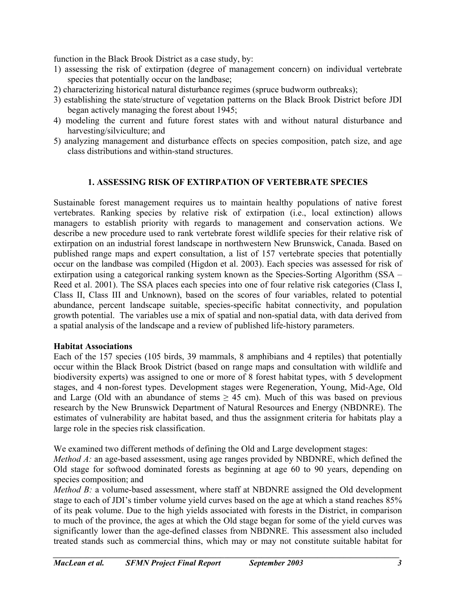function in the Black Brook District as a case study, by:

- 1) assessing the risk of extirpation (degree of management concern) on individual vertebrate species that potentially occur on the landbase;
- 2) characterizing historical natural disturbance regimes (spruce budworm outbreaks);
- 3) establishing the state/structure of vegetation patterns on the Black Brook District before JDI began actively managing the forest about 1945;
- 4) modeling the current and future forest states with and without natural disturbance and harvesting/silviculture; and
- 5) analyzing management and disturbance effects on species composition, patch size, and age class distributions and within-stand structures.

### **1. ASSESSING RISK OF EXTIRPATION OF VERTEBRATE SPECIES**

Sustainable forest management requires us to maintain healthy populations of native forest vertebrates. Ranking species by relative risk of extirpation (i.e., local extinction) allows managers to establish priority with regards to management and conservation actions. We describe a new procedure used to rank vertebrate forest wildlife species for their relative risk of extirpation on an industrial forest landscape in northwestern New Brunswick, Canada. Based on published range maps and expert consultation, a list of 157 vertebrate species that potentially occur on the landbase was compiled (Higdon et al. 2003). Each species was assessed for risk of extirpation using a categorical ranking system known as the Species-Sorting Algorithm (SSA – Reed et al. 2001). The SSA places each species into one of four relative risk categories (Class I, Class II, Class III and Unknown), based on the scores of four variables, related to potential abundance, percent landscape suitable, species-specific habitat connectivity, and population growth potential. The variables use a mix of spatial and non-spatial data, with data derived from a spatial analysis of the landscape and a review of published life-history parameters.

#### **Habitat Associations**

Each of the 157 species (105 birds, 39 mammals, 8 amphibians and 4 reptiles) that potentially occur within the Black Brook District (based on range maps and consultation with wildlife and biodiversity experts) was assigned to one or more of 8 forest habitat types, with 5 development stages, and 4 non-forest types. Development stages were Regeneration, Young, Mid-Age, Old and Large (Old with an abundance of stems  $\geq$  45 cm). Much of this was based on previous research by the New Brunswick Department of Natural Resources and Energy (NBDNRE). The estimates of vulnerability are habitat based, and thus the assignment criteria for habitats play a large role in the species risk classification.

We examined two different methods of defining the Old and Large development stages:

*Method A:* an age-based assessment, using age ranges provided by NBDNRE, which defined the Old stage for softwood dominated forests as beginning at age 60 to 90 years, depending on species composition; and

*Method B*: a volume-based assessment, where staff at NBDNRE assigned the Old development stage to each of JDI's timber volume yield curves based on the age at which a stand reaches 85% of its peak volume. Due to the high yields associated with forests in the District, in comparison to much of the province, the ages at which the Old stage began for some of the yield curves was significantly lower than the age-defined classes from NBDNRE. This assessment also included treated stands such as commercial thins, which may or may not constitute suitable habitat for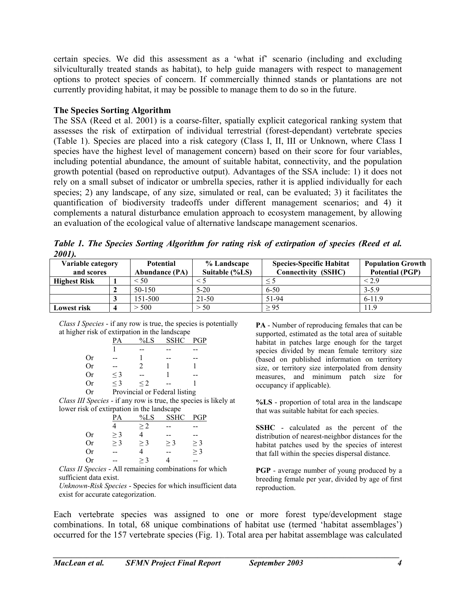certain species. We did this assessment as a 'what if' scenario (including and excluding silviculturally treated stands as habitat), to help guide managers with respect to management options to protect species of concern. If commercially thinned stands or plantations are not currently providing habitat, it may be possible to manage them to do so in the future.

#### **The Species Sorting Algorithm**

The SSA (Reed et al. 2001) is a coarse-filter, spatially explicit categorical ranking system that assesses the risk of extirpation of individual terrestrial (forest-dependant) vertebrate species (Table 1). Species are placed into a risk category (Class I, II, III or Unknown, where Class I species have the highest level of management concern) based on their score for four variables, including potential abundance, the amount of suitable habitat, connectivity, and the population growth potential (based on reproductive output). Advantages of the SSA include: 1) it does not rely on a small subset of indicator or umbrella species, rather it is applied individually for each species; 2) any landscape, of any size, simulated or real, can be evaluated; 3) it facilitates the quantification of biodiversity tradeoffs under different management scenarios; and 4) it complements a natural disturbance emulation approach to ecosystem management, by allowing an evaluation of the ecological value of alternative landscape management scenarios.

| 2001L               |   |                       |                                                |                            |                          |  |  |  |
|---------------------|---|-----------------------|------------------------------------------------|----------------------------|--------------------------|--|--|--|
| Variable category   |   | <b>Potential</b>      | <b>Species-Specific Habitat</b><br>% Landscape |                            | <b>Population Growth</b> |  |  |  |
| and scores          |   | <b>Abundance (PA)</b> | Suitable (%LS)                                 | <b>Connectivity (SSHC)</b> | <b>Potential (PGP)</b>   |  |  |  |
| <b>Highest Risk</b> |   | < 50                  |                                                |                            | < 2.9                    |  |  |  |
|                     |   | 50-150                | $5-20$                                         | 6-50                       | $3 - 5.9$                |  |  |  |
|                     | J | 151-500               | $21-50$                                        | 51-94                      | $6 - 11.9$               |  |  |  |
| Lowest risk         |   | 500                   | > 50                                           | > 95                       | 19                       |  |  |  |

*Table 1. The Species Sorting Algorithm for rating risk of extirpation of species (Reed et al. 2001).* 

*Class I Species* - if any row is true, the species is potentially at higher risk of extirpation in the landscape

| ັ |    |                               |          |             |  |  |
|---|----|-------------------------------|----------|-------------|--|--|
|   |    | PА                            |          | <b>SSHC</b> |  |  |
|   |    |                               |          |             |  |  |
|   | Or |                               |          |             |  |  |
|   | Оr |                               |          |             |  |  |
|   | Оr | $\leq$ 3                      |          |             |  |  |
|   | Оr | $<$ 3                         | $\leq$ 2 |             |  |  |
|   |    | Provincial or Federal listing |          |             |  |  |
|   |    |                               |          |             |  |  |

*Class III Species* - if any row is true, the species is likely at lower risk of extirpation in the landscape

|      |           | -                    | %LS           | -<br><b>SSHC</b>        | <b>PGP</b> |
|------|-----------|----------------------|---------------|-------------------------|------------|
|      |           |                      | >2            |                         |            |
|      | Or        | $>$ 3                |               |                         |            |
|      | <b>Or</b> | $>$ 3                | $>$ 3         | $>$ 3                   | $>$ 3      |
|      | Or        | --                   |               |                         | $\geq$ 3   |
|      | Or.       |                      | $>$ 3         |                         |            |
| $ -$ |           | $\sim$ $\sim$ $\sim$ | $\sim$ $\sim$ | $\sim$ $\sim$<br>$\sim$ | $\sim$     |

*Class II Species* - All remaining combinations for which sufficient data exist.

*Unknown-Risk Species* - Species for which insufficient data exist for accurate categorization.

**PA** - Number of reproducing females that can be supported, estimated as the total area of suitable habitat in patches large enough for the target species divided by mean female territory size (based on published information on territory size, or territory size interpolated from density measures, and minimum patch size for occupancy if applicable).

**%LS** - proportion of total area in the landscape that was suitable habitat for each species.

**SSHC** - calculated as the percent of the distribution of nearest-neighbor distances for the habitat patches used by the species of interest that fall within the species dispersal distance.

**PGP** - average number of young produced by a breeding female per year, divided by age of first reproduction.

Each vertebrate species was assigned to one or more forest type/development stage combinations. In total, 68 unique combinations of habitat use (termed 'habitat assemblages') occurred for the 157 vertebrate species (Fig. 1). Total area per habitat assemblage was calculated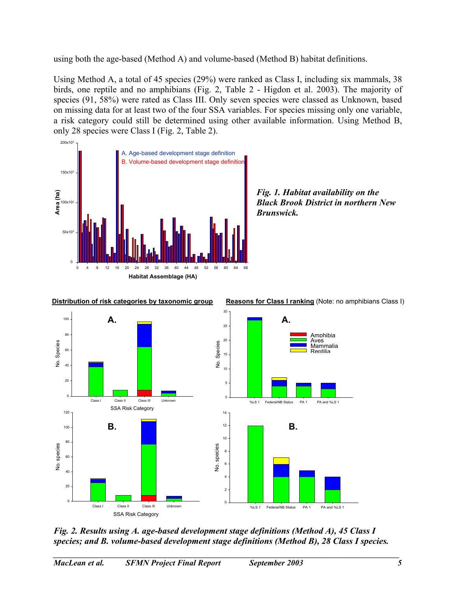using both the age-based (Method A) and volume-based (Method B) habitat definitions.

Using Method A, a total of 45 species (29%) were ranked as Class I, including six mammals, 38 birds, one reptile and no amphibians (Fig. 2, Table 2 - Higdon et al. 2003). The majority of species (91, 58%) were rated as Class III. Only seven species were classed as Unknown, based on missing data for at least two of the four SSA variables. For species missing only one variable, a risk category could still be determined using other available information. Using Method B, only 28 species were Class I (Fig. 2, Table 2).







*Fig. 2. Results using A. age-based development stage definitions (Method A), 45 Class I species; and B. volume-based development stage definitions (Method B), 28 Class I species.*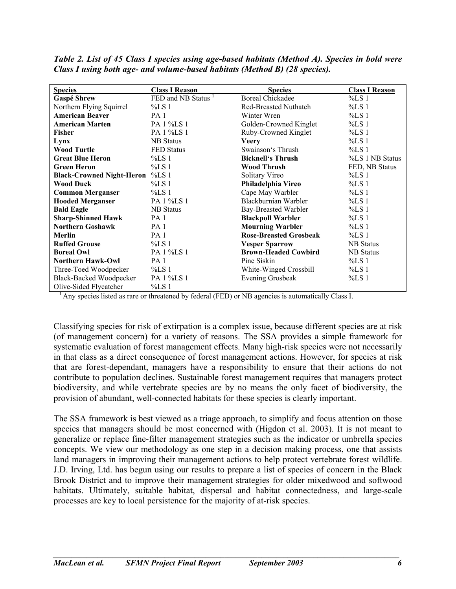| <b>Species</b>                   | <b>Class I Reason</b>          | <b>Species</b>                | <b>Class I Reason</b> |
|----------------------------------|--------------------------------|-------------------------------|-----------------------|
| <b>Gaspé Shrew</b>               | FED and NB Status <sup>1</sup> | <b>Boreal Chickadee</b>       | %LS1                  |
| Northern Flying Squirrel         | %LS1                           | <b>Red-Breasted Nuthatch</b>  | %LS1                  |
| <b>American Beaver</b>           | PA <sub>1</sub>                | Winter Wren                   | %LS1                  |
| <b>American Marten</b>           | PA 1 %LS 1                     | Golden-Crowned Kinglet        | $\%$ LS 1             |
| <b>Fisher</b>                    | PA 1 %LS 1                     | Ruby-Crowned Kinglet          | %LS1                  |
| Lynx                             | <b>NB</b> Status               | <b>Veery</b>                  | %LS1                  |
| <b>Wood Turtle</b>               | <b>FED</b> Status              | Swainson's Thrush             | %LS1                  |
| <b>Great Blue Heron</b>          | %LS1                           | <b>Bicknell's Thrush</b>      | %LS 1 NB Status       |
| <b>Green Heron</b>               | %LS1                           | <b>Wood Thrush</b>            | FED, NB Status        |
| <b>Black-Crowned Night-Heron</b> | %LS1                           | Solitary Vireo                | %LS1                  |
| <b>Wood Duck</b>                 | %LS1                           | Philadelphia Vireo            | $\%$ LS 1             |
| <b>Common Merganser</b>          | %LS1                           | Cape May Warbler              | %LS1                  |
| <b>Hooded Merganser</b>          | PA 1 %LS 1                     | Blackburnian Warbler          | %LS1                  |
| <b>Bald Eagle</b>                | <b>NB</b> Status               | Bay-Breasted Warbler          | %LS1                  |
| <b>Sharp-Shinned Hawk</b>        | PA <sub>1</sub>                | <b>Blackpoll Warbler</b>      | %LS1                  |
| <b>Northern Goshawk</b>          | PA <sub>1</sub>                | <b>Mourning Warbler</b>       | %LS1                  |
| Merlin                           | PA <sub>1</sub>                | <b>Rose-Breasted Grosbeak</b> | %LS1                  |
| <b>Ruffed Grouse</b>             | %LS1                           | <b>Vesper Sparrow</b>         | <b>NB</b> Status      |
| <b>Boreal Owl</b>                | <b>PA 1 %LS 1</b>              | <b>Brown-Headed Cowbird</b>   | <b>NB</b> Status      |
| <b>Northern Hawk-Owl</b>         | PA <sub>1</sub>                | Pine Siskin                   | %LS1                  |
| Three-Toed Woodpecker            | $\%$ LS 1                      | White-Winged Crossbill        | %LS1                  |
| <b>Black-Backed Woodpecker</b>   | PA 1 %LS 1                     | <b>Evening Grosbeak</b>       | %LS1                  |
| Olive-Sided Flycatcher           | %LS1                           |                               |                       |

*Table 2. List of 45 Class I species using age-based habitats (Method A). Species in bold were Class I using both age- and volume-based habitats (Method B) (28 species).* 

<sup>1</sup> Any species listed as rare or threatened by federal (FED) or NB agencies is automatically Class I.

Classifying species for risk of extirpation is a complex issue, because different species are at risk (of management concern) for a variety of reasons. The SSA provides a simple framework for systematic evaluation of forest management effects. Many high-risk species were not necessarily in that class as a direct consequence of forest management actions. However, for species at risk that are forest-dependant, managers have a responsibility to ensure that their actions do not contribute to population declines. Sustainable forest management requires that managers protect biodiversity, and while vertebrate species are by no means the only facet of biodiversity, the provision of abundant, well-connected habitats for these species is clearly important.

The SSA framework is best viewed as a triage approach, to simplify and focus attention on those species that managers should be most concerned with (Higdon et al. 2003). It is not meant to generalize or replace fine-filter management strategies such as the indicator or umbrella species concepts. We view our methodology as one step in a decision making process, one that assists land managers in improving their management actions to help protect vertebrate forest wildlife. J.D. Irving, Ltd. has begun using our results to prepare a list of species of concern in the Black Brook District and to improve their management strategies for older mixedwood and softwood habitats. Ultimately, suitable habitat, dispersal and habitat connectedness, and large-scale processes are key to local persistence for the majority of at-risk species.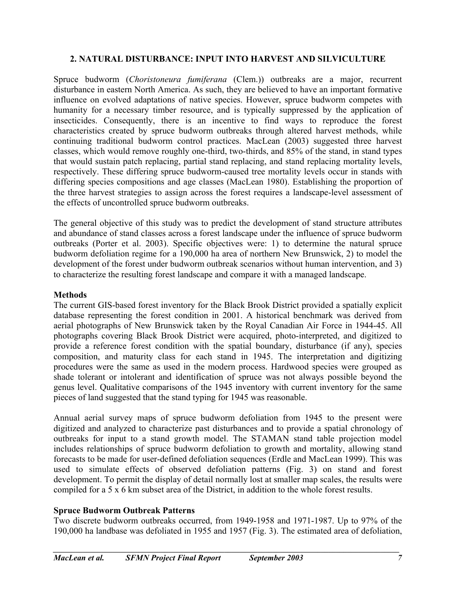#### **2. NATURAL DISTURBANCE: INPUT INTO HARVEST AND SILVICULTURE**

Spruce budworm (*Choristoneura fumiferana* (Clem.)) outbreaks are a major, recurrent disturbance in eastern North America. As such, they are believed to have an important formative influence on evolved adaptations of native species. However, spruce budworm competes with humanity for a necessary timber resource, and is typically suppressed by the application of insecticides. Consequently, there is an incentive to find ways to reproduce the forest characteristics created by spruce budworm outbreaks through altered harvest methods, while continuing traditional budworm control practices. MacLean (2003) suggested three harvest classes, which would remove roughly one-third, two-thirds, and 85% of the stand, in stand types that would sustain patch replacing, partial stand replacing, and stand replacing mortality levels, respectively. These differing spruce budworm-caused tree mortality levels occur in stands with differing species compositions and age classes (MacLean 1980). Establishing the proportion of the three harvest strategies to assign across the forest requires a landscape-level assessment of the effects of uncontrolled spruce budworm outbreaks.

The general objective of this study was to predict the development of stand structure attributes and abundance of stand classes across a forest landscape under the influence of spruce budworm outbreaks (Porter et al. 2003). Specific objectives were: 1) to determine the natural spruce budworm defoliation regime for a 190,000 ha area of northern New Brunswick, 2) to model the development of the forest under budworm outbreak scenarios without human intervention, and 3) to characterize the resulting forest landscape and compare it with a managed landscape.

#### **Methods**

The current GIS-based forest inventory for the Black Brook District provided a spatially explicit database representing the forest condition in 2001. A historical benchmark was derived from aerial photographs of New Brunswick taken by the Royal Canadian Air Force in 1944-45. All photographs covering Black Brook District were acquired, photo-interpreted, and digitized to provide a reference forest condition with the spatial boundary, disturbance (if any), species composition, and maturity class for each stand in 1945. The interpretation and digitizing procedures were the same as used in the modern process. Hardwood species were grouped as shade tolerant or intolerant and identification of spruce was not always possible beyond the genus level. Qualitative comparisons of the 1945 inventory with current inventory for the same pieces of land suggested that the stand typing for 1945 was reasonable.

Annual aerial survey maps of spruce budworm defoliation from 1945 to the present were digitized and analyzed to characterize past disturbances and to provide a spatial chronology of outbreaks for input to a stand growth model. The STAMAN stand table projection model includes relationships of spruce budworm defoliation to growth and mortality, allowing stand forecasts to be made for user-defined defoliation sequences (Erdle and MacLean 1999). This was used to simulate effects of observed defoliation patterns (Fig. 3) on stand and forest development. To permit the display of detail normally lost at smaller map scales, the results were compiled for a 5 x 6 km subset area of the District, in addition to the whole forest results.

#### **Spruce Budworm Outbreak Patterns**

Two discrete budworm outbreaks occurred, from 1949-1958 and 1971-1987. Up to 97% of the 190,000 ha landbase was defoliated in 1955 and 1957 (Fig. 3). The estimated area of defoliation,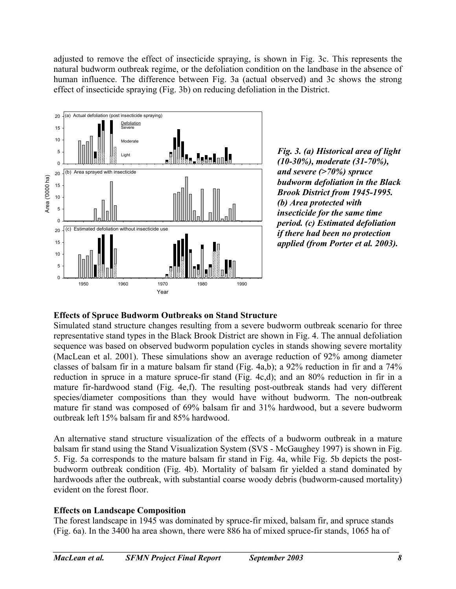adjusted to remove the effect of insecticide spraying, is shown in Fig. 3c. This represents the natural budworm outbreak regime, or the defoliation condition on the landbase in the absence of human influence. The difference between Fig. 3a (actual observed) and 3c shows the strong effect of insecticide spraying (Fig. 3b) on reducing defoliation in the District.



*(10-30%), moderate (31-70%), and severe (>70%) spruce budworm defoliation in the Black Brook District from 1945-1995. (b) Area protected with insecticide for the same time period. (c) Estimated defoliation if there had been no protection applied (from Porter et al. 2003).* 

### **Effects of Spruce Budworm Outbreaks on Stand Structure**

Simulated stand structure changes resulting from a severe budworm outbreak scenario for three representative stand types in the Black Brook District are shown in Fig. 4. The annual defoliation sequence was based on observed budworm population cycles in stands showing severe mortality (MacLean et al. 2001). These simulations show an average reduction of 92% among diameter classes of balsam fir in a mature balsam fir stand (Fig. 4a,b); a 92% reduction in fir and a 74% reduction in spruce in a mature spruce-fir stand (Fig. 4c,d); and an 80% reduction in fir in a mature fir-hardwood stand (Fig. 4e,f). The resulting post-outbreak stands had very different species/diameter compositions than they would have without budworm. The non-outbreak mature fir stand was composed of 69% balsam fir and 31% hardwood, but a severe budworm outbreak left 15% balsam fir and 85% hardwood.

An alternative stand structure visualization of the effects of a budworm outbreak in a mature balsam fir stand using the Stand Visualization System (SVS - McGaughey 1997) is shown in Fig. 5. Fig. 5a corresponds to the mature balsam fir stand in Fig. 4a, while Fig. 5b depicts the postbudworm outbreak condition (Fig. 4b). Mortality of balsam fir yielded a stand dominated by hardwoods after the outbreak, with substantial coarse woody debris (budworm-caused mortality) evident on the forest floor.

#### **Effects on Landscape Composition**

The forest landscape in 1945 was dominated by spruce-fir mixed, balsam fir, and spruce stands (Fig. 6a). In the 3400 ha area shown, there were 886 ha of mixed spruce-fir stands, 1065 ha of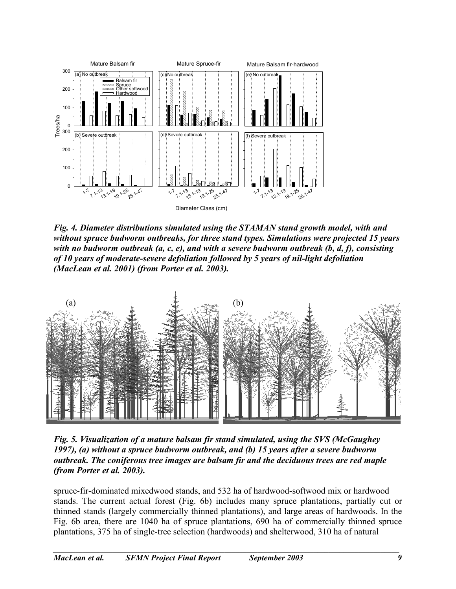

*Fig. 4. Diameter distributions simulated using the STAMAN stand growth model, with and without spruce budworm outbreaks, for three stand types. Simulations were projected 15 years with no budworm outbreak (a, c, e), and with a severe budworm outbreak (b, d, f), consisting of 10 years of moderate-severe defoliation followed by 5 years of nil-light defoliation (MacLean et al. 2001) (from Porter et al. 2003).* 



*Fig. 5. Visualization of a mature balsam fir stand simulated, using the SVS (McGaughey 1997), (a) without a spruce budworm outbreak, and (b) 15 years after a severe budworm outbreak. The coniferous tree images are balsam fir and the deciduous trees are red maple (from Porter et al. 2003).* 

spruce-fir-dominated mixedwood stands, and 532 ha of hardwood-softwood mix or hardwood stands. The current actual forest (Fig. 6b) includes many spruce plantations, partially cut or thinned stands (largely commercially thinned plantations), and large areas of hardwoods. In the Fig. 6b area, there are 1040 ha of spruce plantations, 690 ha of commercially thinned spruce plantations, 375 ha of single-tree selection (hardwoods) and shelterwood, 310 ha of natural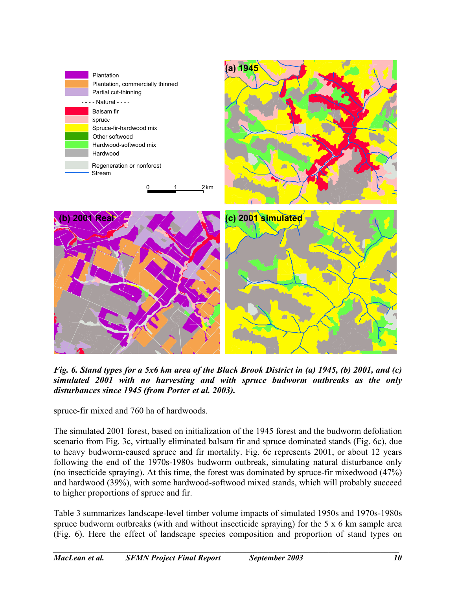

*Fig. 6. Stand types for a 5x6 km area of the Black Brook District in (a) 1945, (b) 2001, and (c) simulated 2001 with no harvesting and with spruce budworm outbreaks as the only disturbances since 1945 (from Porter et al. 2003).* 

spruce-fir mixed and 760 ha of hardwoods.

The simulated 2001 forest, based on initialization of the 1945 forest and the budworm defoliation scenario from Fig. 3c, virtually eliminated balsam fir and spruce dominated stands (Fig. 6c), due to heavy budworm-caused spruce and fir mortality. Fig. 6c represents 2001, or about 12 years following the end of the 1970s-1980s budworm outbreak, simulating natural disturbance only (no insecticide spraying). At this time, the forest was dominated by spruce-fir mixedwood (47%) and hardwood (39%), with some hardwood-softwood mixed stands, which will probably succeed to higher proportions of spruce and fir.

Table 3 summarizes landscape-level timber volume impacts of simulated 1950s and 1970s-1980s spruce budworm outbreaks (with and without insecticide spraying) for the 5 x 6 km sample area (Fig. 6). Here the effect of landscape species composition and proportion of stand types on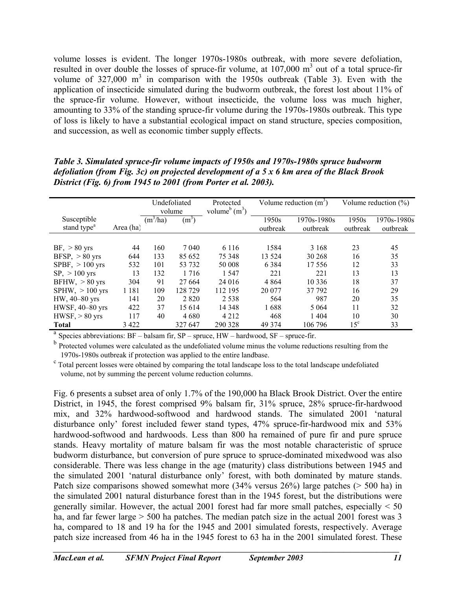volume losses is evident. The longer 1970s-1980s outbreak, with more severe defoliation, resulted in over double the losses of spruce-fir volume, at  $107,000$  m<sup>3</sup> out of a total spruce-fir volume of  $327,000$  m<sup>3</sup> in comparison with the 1950s outbreak (Table 3). Even with the application of insecticide simulated during the budworm outbreak, the forest lost about 11% of the spruce-fir volume. However, without insecticide, the volume loss was much higher, amounting to 33% of the standing spruce-fir volume during the 1970s-1980s outbreak. This type of loss is likely to have a substantial ecological impact on stand structure, species composition, and succession, as well as economic timber supply effects.

*Table 3. Simulated spruce-fir volume impacts of 1950s and 1970s-1980s spruce budworm defoliation (from Fig. 3c) on projected development of a 5 x 6 km area of the Black Brook District (Fig. 6) from 1945 to 2001 (from Porter et al. 2003).* 

|                         |           | Undefoliated<br>volume |         | Protected<br>volume <sup>b</sup> $(m^3)$ | Volume reduction $(m^3)$ |             | Volume reduction $(\%)$ |             |
|-------------------------|-----------|------------------------|---------|------------------------------------------|--------------------------|-------------|-------------------------|-------------|
| Susceptible             |           | $(m^3/ha)$             | $(m^3)$ |                                          | 1950s                    | 1970s-1980s | 1950s                   | 1970s-1980s |
| stand type <sup>a</sup> | Area (ha) |                        |         |                                          | outbreak                 | outbreak    | outbreak                | outbreak    |
|                         |           |                        |         |                                          |                          |             |                         |             |
| $BF_{2} > 80$ yrs       | 44        | 160                    | 7 040   | 6 1 1 6                                  | 1584                     | 3 1 6 8     | 23                      | 45          |
| $BFSP$ , $> 80$ yrs     | 644       | 133                    | 85 652  | 75 348                                   | 13 5 24                  | 30 268      | 16                      | 35          |
| SPBF, $> 100$ yrs       | 532       | 101                    | 53 732  | 50 008                                   | 6 3 8 4                  | 17556       | 12                      | 33          |
| $SP_{\odot} > 100$ yrs  | 13        | 132                    | 1 7 1 6 | 1.547                                    | 221                      | 221         | 13                      | 13          |
| BFHW, $> 80$ yrs        | 304       | 91                     | 27 6 64 | 24 016                                   | 4 8 6 4                  | 10 3 36     | 18                      | 37          |
| $SPHW_{1} > 100$ yrs    | 1 1 8 1   | 109                    | 128 729 | 112 195                                  | 20 077                   | 37 792      | 16                      | 29          |
| HW, 40-80 yrs           | 141       | 20                     | 2 8 2 0 | 2 5 3 8                                  | 564                      | 987         | 20                      | 35          |
| HWSF, 40-80 yrs         | 422       | 37                     | 15 6 14 | 14 348                                   | 1688                     | 5 0 6 4     | 11                      | 32          |
| $HWSF$ , $> 80$ yrs     | 117       | 40                     | 4 6 8 0 | 4 2 1 2                                  | 468                      | 1 4 0 4     | 10                      | 30          |
| <b>Total</b>            | 3 4 2 2   |                        | 327 647 | 290 328                                  | 49 3 74                  | 106 796     | $15^{\circ}$            | 33          |

 $T<sup>a</sup>$  Species abbreviations: BF – balsam fir, SP – spruce, HW – hardwood, SF – spruce-fir.

b Protected volumes were calculated as the undefoliated volume minus the volume reductions resulting from the 1970s-1980s outbreak if protection was applied to the entire landbase. c

<sup>c</sup> Total percent losses were obtained by comparing the total landscape loss to the total landscape undefoliated volume, not by summing the percent volume reduction columns.

Fig. 6 presents a subset area of only 1.7% of the 190,000 ha Black Brook District. Over the entire District, in 1945, the forest comprised 9% balsam fir, 31% spruce, 28% spruce-fir-hardwood mix, and 32% hardwood-softwood and hardwood stands. The simulated 2001 'natural disturbance only' forest included fewer stand types, 47% spruce-fir-hardwood mix and 53% hardwood-softwood and hardwoods. Less than 800 ha remained of pure fir and pure spruce stands. Heavy mortality of mature balsam fir was the most notable characteristic of spruce budworm disturbance, but conversion of pure spruce to spruce-dominated mixedwood was also considerable. There was less change in the age (maturity) class distributions between 1945 and the simulated 2001 'natural disturbance only' forest, with both dominated by mature stands. Patch size comparisons showed somewhat more (34% versus 26%) large patches (> 500 ha) in the simulated 2001 natural disturbance forest than in the 1945 forest, but the distributions were generally similar. However, the actual 2001 forest had far more small patches, especially  $\leq 50$ ha, and far fewer large  $> 500$  ha patches. The median patch size in the actual 2001 forest was 3 ha, compared to 18 and 19 ha for the 1945 and 2001 simulated forests, respectively. Average patch size increased from 46 ha in the 1945 forest to 63 ha in the 2001 simulated forest. These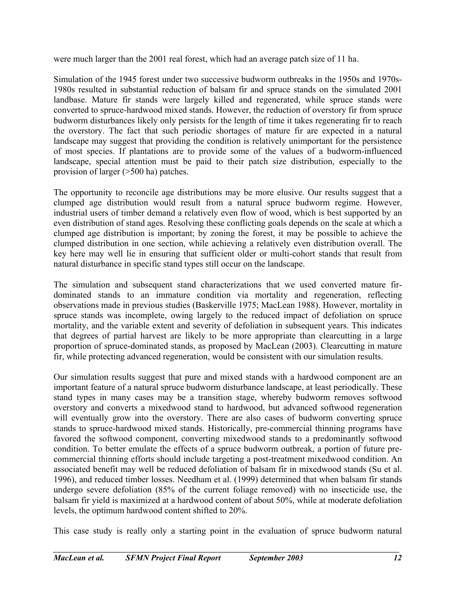were much larger than the 2001 real forest, which had an average patch size of 11 ha.

Simulation of the 1945 forest under two successive budworm outbreaks in the 1950s and 1970s-1980s resulted in substantial reduction of balsam fir and spruce stands on the simulated 2001 landbase. Mature fir stands were largely killed and regenerated, while spruce stands were converted to spruce-hardwood mixed stands. However, the reduction of overstory fir from spruce budworm disturbances likely only persists for the length of time it takes regenerating fir to reach the overstory. The fact that such periodic shortages of mature fir are expected in a natural landscape may suggest that providing the condition is relatively unimportant for the persistence of most species. If plantations are to provide some of the values of a budworm-influenced landscape, special attention must be paid to their patch size distribution, especially to the provision of larger (>500 ha) patches.

The opportunity to reconcile age distributions may be more elusive. Our results suggest that a clumped age distribution would result from a natural spruce budworm regime. However, industrial users of timber demand a relatively even flow of wood, which is best supported by an even distribution of stand ages. Resolving these conflicting goals depends on the scale at which a clumped age distribution is important; by zoning the forest, it may be possible to achieve the clumped distribution in one section, while achieving a relatively even distribution overall. The key here may well lie in ensuring that sufficient older or multi-cohort stands that result from natural disturbance in specific stand types still occur on the landscape.

The simulation and subsequent stand characterizations that we used converted mature firdominated stands to an immature condition via mortality and regeneration, reflecting observations made in previous studies (Baskerville 1975; MacLean 1988). However, mortality in spruce stands was incomplete, owing largely to the reduced impact of defoliation on spruce mortality, and the variable extent and severity of defoliation in subsequent years. This indicates that degrees of partial harvest are likely to be more appropriate than clearcutting in a large proportion of spruce-dominated stands, as proposed by MacLean (2003). Clearcutting in mature fir, while protecting advanced regeneration, would be consistent with our simulation results.

Our simulation results suggest that pure and mixed stands with a hardwood component are an important feature of a natural spruce budworm disturbance landscape, at least periodically. These stand types in many cases may be a transition stage, whereby budworm removes softwood overstory and converts a mixedwood stand to hardwood, but advanced softwood regeneration will eventually grow into the overstory. There are also cases of budworm converting spruce stands to spruce-hardwood mixed stands. Historically, pre-commercial thinning programs have favored the softwood component, converting mixedwood stands to a predominantly softwood condition. To better emulate the effects of a spruce budworm outbreak, a portion of future precommercial thinning efforts should include targeting a post-treatment mixedwood condition. An associated benefit may well be reduced defoliation of balsam fir in mixedwood stands (Su et al. 1996), and reduced timber losses. Needham et al. (1999) determined that when balsam fir stands undergo severe defoliation (85% of the current foliage removed) with no insecticide use, the balsam fir yield is maximized at a hardwood content of about 50%, while at moderate defoliation levels, the optimum hardwood content shifted to 20%.

This case study is really only a starting point in the evaluation of spruce budworm natural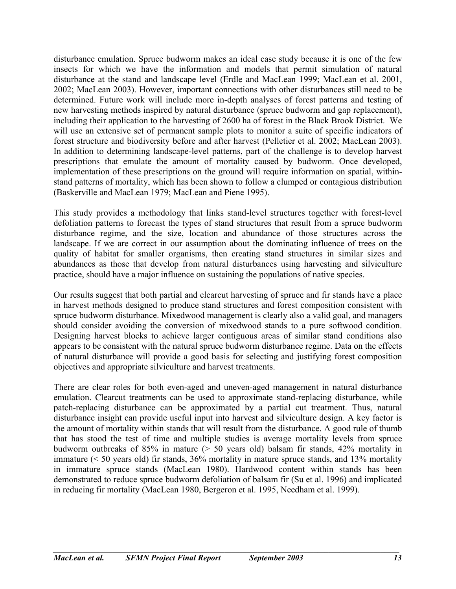disturbance emulation. Spruce budworm makes an ideal case study because it is one of the few insects for which we have the information and models that permit simulation of natural disturbance at the stand and landscape level (Erdle and MacLean 1999; MacLean et al. 2001, 2002; MacLean 2003). However, important connections with other disturbances still need to be determined. Future work will include more in-depth analyses of forest patterns and testing of new harvesting methods inspired by natural disturbance (spruce budworm and gap replacement), including their application to the harvesting of 2600 ha of forest in the Black Brook District. We will use an extensive set of permanent sample plots to monitor a suite of specific indicators of forest structure and biodiversity before and after harvest (Pelletier et al. 2002; MacLean 2003). In addition to determining landscape-level patterns, part of the challenge is to develop harvest prescriptions that emulate the amount of mortality caused by budworm. Once developed, implementation of these prescriptions on the ground will require information on spatial, withinstand patterns of mortality, which has been shown to follow a clumped or contagious distribution (Baskerville and MacLean 1979; MacLean and Piene 1995).

This study provides a methodology that links stand-level structures together with forest-level defoliation patterns to forecast the types of stand structures that result from a spruce budworm disturbance regime, and the size, location and abundance of those structures across the landscape. If we are correct in our assumption about the dominating influence of trees on the quality of habitat for smaller organisms, then creating stand structures in similar sizes and abundances as those that develop from natural disturbances using harvesting and silviculture practice, should have a major influence on sustaining the populations of native species.

Our results suggest that both partial and clearcut harvesting of spruce and fir stands have a place in harvest methods designed to produce stand structures and forest composition consistent with spruce budworm disturbance. Mixedwood management is clearly also a valid goal, and managers should consider avoiding the conversion of mixedwood stands to a pure softwood condition. Designing harvest blocks to achieve larger contiguous areas of similar stand conditions also appears to be consistent with the natural spruce budworm disturbance regime. Data on the effects of natural disturbance will provide a good basis for selecting and justifying forest composition objectives and appropriate silviculture and harvest treatments.

There are clear roles for both even-aged and uneven-aged management in natural disturbance emulation. Clearcut treatments can be used to approximate stand-replacing disturbance, while patch-replacing disturbance can be approximated by a partial cut treatment. Thus, natural disturbance insight can provide useful input into harvest and silviculture design. A key factor is the amount of mortality within stands that will result from the disturbance. A good rule of thumb that has stood the test of time and multiple studies is average mortality levels from spruce budworm outbreaks of 85% in mature (> 50 years old) balsam fir stands, 42% mortality in immature (< 50 years old) fir stands, 36% mortality in mature spruce stands, and 13% mortality in immature spruce stands (MacLean 1980). Hardwood content within stands has been demonstrated to reduce spruce budworm defoliation of balsam fir (Su et al. 1996) and implicated in reducing fir mortality (MacLean 1980, Bergeron et al. 1995, Needham et al. 1999).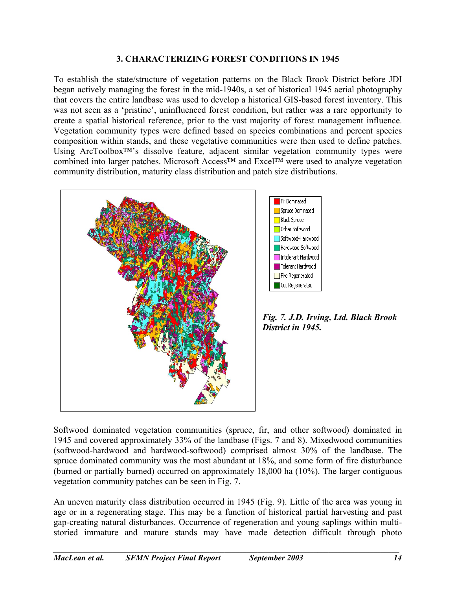#### **3. CHARACTERIZING FOREST CONDITIONS IN 1945**

To establish the state/structure of vegetation patterns on the Black Brook District before JDI began actively managing the forest in the mid-1940s, a set of historical 1945 aerial photography that covers the entire landbase was used to develop a historical GIS-based forest inventory. This was not seen as a 'pristine', uninfluenced forest condition, but rather was a rare opportunity to create a spatial historical reference, prior to the vast majority of forest management influence. Vegetation community types were defined based on species combinations and percent species composition within stands, and these vegetative communities were then used to define patches. Using ArcToolbox™'s dissolve feature, adjacent similar vegetation community types were combined into larger patches. Microsoft Access™ and Excel™ were used to analyze vegetation community distribution, maturity class distribution and patch size distributions.



*Fig. 7. J.D. Irving, Ltd. Black Brook* 

Softwood dominated vegetation communities (spruce, fir, and other softwood) dominated in 1945 and covered approximately 33% of the landbase (Figs. 7 and 8). Mixedwood communities (softwood-hardwood and hardwood-softwood) comprised almost 30% of the landbase. The spruce dominated community was the most abundant at 18%, and some form of fire disturbance (burned or partially burned) occurred on approximately 18,000 ha (10%). The larger contiguous vegetation community patches can be seen in Fig. 7.

An uneven maturity class distribution occurred in 1945 (Fig. 9). Little of the area was young in age or in a regenerating stage. This may be a function of historical partial harvesting and past gap-creating natural disturbances. Occurrence of regeneration and young saplings within multistoried immature and mature stands may have made detection difficult through photo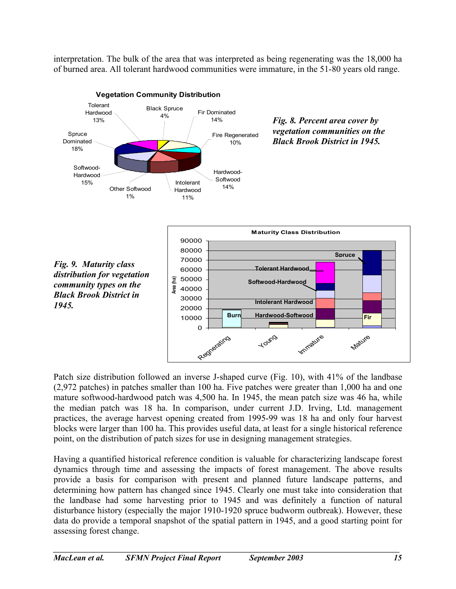interpretation. The bulk of the area that was interpreted as being regenerating was the 18,000 ha of burned area. All tolerant hardwood communities were immature, in the 51-80 years old range.



Patch size distribution followed an inverse J-shaped curve (Fig. 10), with 41% of the landbase (2,972 patches) in patches smaller than 100 ha. Five patches were greater than 1,000 ha and one mature softwood-hardwood patch was 4,500 ha. In 1945, the mean patch size was 46 ha, while the median patch was 18 ha. In comparison, under current J.D. Irving, Ltd. management practices, the average harvest opening created from 1995-99 was 18 ha and only four harvest blocks were larger than 100 ha. This provides useful data, at least for a single historical reference point, on the distribution of patch sizes for use in designing management strategies.

Having a quantified historical reference condition is valuable for characterizing landscape forest dynamics through time and assessing the impacts of forest management. The above results provide a basis for comparison with present and planned future landscape patterns, and determining how pattern has changed since 1945. Clearly one must take into consideration that the landbase had some harvesting prior to 1945 and was definitely a function of natural disturbance history (especially the major 1910-1920 spruce budworm outbreak). However, these data do provide a temporal snapshot of the spatial pattern in 1945, and a good starting point for assessing forest change.

 $\mathcal{L} = \{ \mathcal{L} = \{ \mathcal{L} = \{ \mathcal{L} = \{ \mathcal{L} = \{ \mathcal{L} = \{ \mathcal{L} = \{ \mathcal{L} = \{ \mathcal{L} = \{ \mathcal{L} = \{ \mathcal{L} = \{ \mathcal{L} = \{ \mathcal{L} = \{ \mathcal{L} = \{ \mathcal{L} = \{ \mathcal{L} = \{ \mathcal{L} = \{ \mathcal{L} = \{ \mathcal{L} = \{ \mathcal{L} = \{ \mathcal{L} = \{ \mathcal{L} = \{ \mathcal{L} = \{ \mathcal{L} = \{ \mathcal{$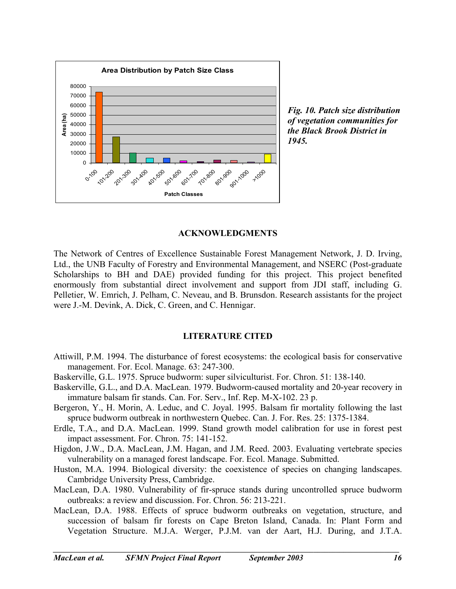

*Fig. 10. Patch size distribution of vegetation communities for the Black Brook District in 1945.* 

#### **ACKNOWLEDGMENTS**

The Network of Centres of Excellence Sustainable Forest Management Network, J. D. Irving, Ltd., the UNB Faculty of Forestry and Environmental Management, and NSERC (Post-graduate Scholarships to BH and DAE) provided funding for this project. This project benefited enormously from substantial direct involvement and support from JDI staff, including G. Pelletier, W. Emrich, J. Pelham, C. Neveau, and B. Brunsdon. Research assistants for the project were J.-M. Devink, A. Dick, C. Green, and C. Hennigar.

#### **LITERATURE CITED**

- Attiwill, P.M. 1994. The disturbance of forest ecosystems: the ecological basis for conservative management. For. Ecol. Manage. 63: 247-300.
- Baskerville, G.L. 1975. Spruce budworm: super silviculturist. For. Chron. 51: 138-140.
- Baskerville, G.L., and D.A. MacLean. 1979. Budworm-caused mortality and 20-year recovery in immature balsam fir stands. Can. For. Serv., Inf. Rep. M-X-102. 23 p.
- Bergeron, Y., H. Morin, A. Leduc, and C. Joyal. 1995. Balsam fir mortality following the last spruce budworm outbreak in northwestern Quebec. Can. J. For. Res. 25: 1375-1384.
- Erdle, T.A., and D.A. MacLean. 1999. Stand growth model calibration for use in forest pest impact assessment. For. Chron. 75: 141-152.
- Higdon, J.W., D.A. MacLean, J.M. Hagan, and J.M. Reed. 2003. Evaluating vertebrate species vulnerability on a managed forest landscape. For. Ecol. Manage. Submitted.
- Huston, M.A. 1994. Biological diversity: the coexistence of species on changing landscapes. Cambridge University Press, Cambridge.
- MacLean, D.A. 1980. Vulnerability of fir-spruce stands during uncontrolled spruce budworm outbreaks: a review and discussion. For. Chron. 56: 213-221.
- MacLean, D.A. 1988. Effects of spruce budworm outbreaks on vegetation, structure, and succession of balsam fir forests on Cape Breton Island, Canada. In: Plant Form and Vegetation Structure. M.J.A. Werger, P.J.M. van der Aart, H.J. During, and J.T.A.